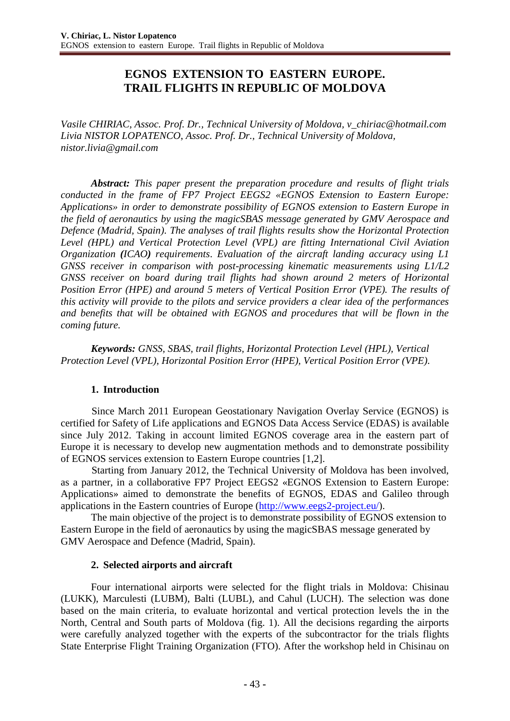# **EGNOS EXTENSION TO EASTERN EUROPE. TRAIL FLIGHTS IN REPUBLIC OF MOLDOVA**

*Vasile CHIRIAC, Assoc. Prof. Dr., Technical University of Moldova, [v\\_chiriac@hotmail.com](mailto:v_chiriac@hotmail.com) Livia NISTOR LOPATENCO*, *Assoc. Prof. Dr., Technical University of Moldova, [nistor.livia@gmail.com](mailto:nistor.livia@gmail.com)*

*Abstract: This paper present the preparation procedure and results of flight trials conducted in the frame of FP7 Project EEGS2 «EGNOS Extension to Eastern Europe: Applications» in order to demonstrate possibility of EGNOS extension to Eastern Europe in the field of aeronautics by using the magicSBAS message generated by GMV Aerospace and Defence (Madrid, Spain). The analyses of trail flights results show the Horizontal Protection Level (HPL) and Vertical Protection Level (VPL) are fitting International Civil Aviation Organization (ICAO) requirements*. *Evaluation of the aircraft landing accuracy using L1 GNSS receiver in comparison with post-processing kinematic measurements using L1/L2 GNSS receiver on board during trail flights had shown around 2 meters of Horizontal Position Error (HPE) and around 5 meters of Vertical Position Error (VPE). The results of this activity will provide to the pilots and service providers a clear idea of the performances and benefits that will be obtained with EGNOS and procedures that will be flown in the coming future.* 

*Keywords: GNSS, SBAS, trail flights, Horizontal Protection Level (HPL), Vertical Protection Level (VPL), Horizontal Position Error (HPE), Vertical Position Error (VPE).*

#### **1. Introduction**

Since March 2011 European Geostationary Navigation Overlay Service (EGNOS) is certified for Safety of Life applications and EGNOS Data Access Service (EDAS) is available since July 2012. Taking in account limited EGNOS coverage area in the eastern part of Europe it is necessary to develop new augmentation methods and to demonstrate possibility of EGNOS services extension to Eastern Europe countries [1,2].

Starting from January 2012, the Technical University of Moldova has been involved, as a partner, in a collaborative FP7 Project EEGS2 «EGNOS Extension to Eastern Europe: Applications» aimed to demonstrate the benefits of EGNOS, EDAS and Galileo through applications in the Eastern countries of Europe [\(http://www.eegs2-project.eu/\)](http://www.eegs2-project.eu/).

The main objective of the project is to demonstrate possibility of EGNOS extension to Eastern Europe in the field of aeronautics by using the magicSBAS message generated by GMV Aerospace and Defence (Madrid, Spain).

#### **2. Selected airports and aircraft**

Four international airports were selected for the flight trials in Moldova: Chisinau (LUKK), Marculesti (LUBM), Balti (LUBL), and Cahul (LUCH). The selection was done based on the main criteria, to evaluate horizontal and vertical protection levels the in the North, Central and South parts of Moldova (fig. 1). All the decisions regarding the airports were carefully analyzed together with the experts of the subcontractor for the trials flights State Enterprise Flight Training Organization (FTO). After the workshop held in Chisinau on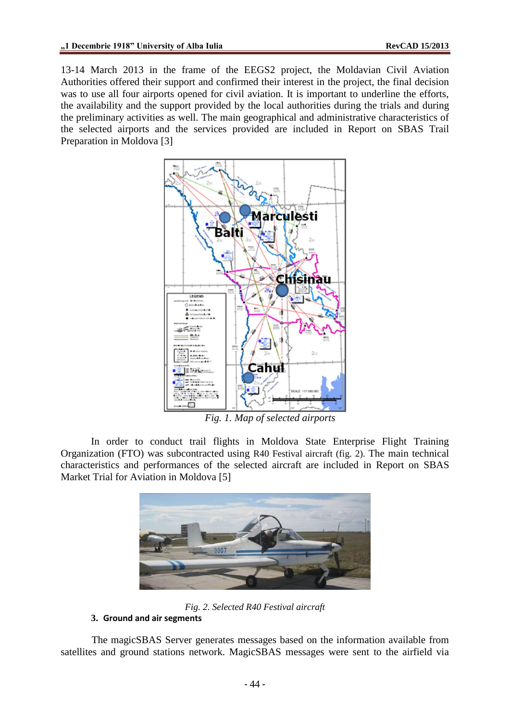13-14 March 2013 in the frame of the EEGS2 project, the Moldavian Civil Aviation Authorities offered their support and confirmed their interest in the project, the final decision was to use all four airports opened for civil aviation. It is important to underline the efforts, the availability and the support provided by the local authorities during the trials and during the preliminary activities as well. The main geographical and administrative characteristics of the selected airports and the services provided are included in Report on SBAS Trail Preparation in Moldova [3]



*Fig. 1. Map of selected airports*

In order to conduct trail flights in Moldova State Enterprise Flight Training Organization (FTO) was subcontracted using R40 Festival aircraft (fig. 2). The main technical characteristics and performances of the selected aircraft are included in Report on SBAS Market Trial for Aviation in Moldova [5]



*Fig. 2. Selected R40 Festival aircraft*

## **3. Ground and air segments**

The magicSBAS Server generates messages based on the information available from satellites and ground stations network. MagicSBAS messages were sent to the airfield via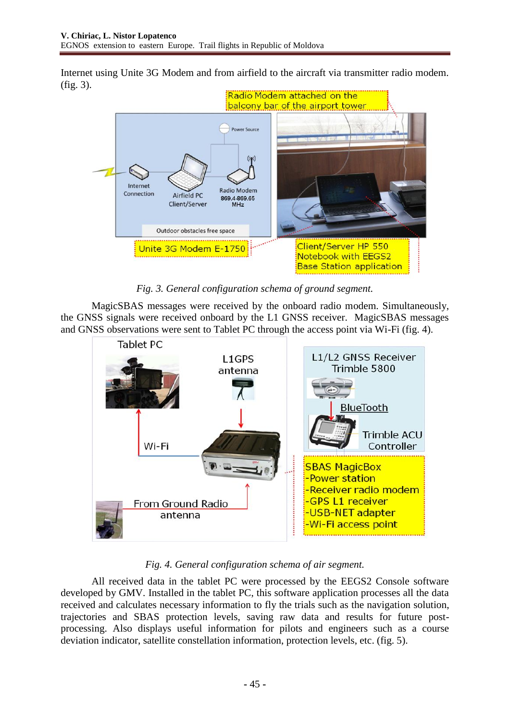Internet using Unite 3G Modem and from airfield to the aircraft via transmitter radio modem. (fig. 3).



*Fig. 3. General configuration schema of ground segment.*

MagicSBAS messages were received by the onboard radio modem. Simultaneously, the GNSS signals were received onboard by the L1 GNSS receiver. MagicSBAS messages and GNSS observations were sent to Tablet PC through the access point via Wi-Fi (fig. 4).



*Fig. 4. General configuration schema of air segment.*

All received data in the tablet PC were processed by the EEGS2 Console software developed by GMV. Installed in the tablet PC, this software application processes all the data received and calculates necessary information to fly the trials such as the navigation solution, trajectories and SBAS protection levels, saving raw data and results for future postprocessing. Also displays useful information for pilots and engineers such as a course deviation indicator, satellite constellation information, protection levels, etc. (fig. 5).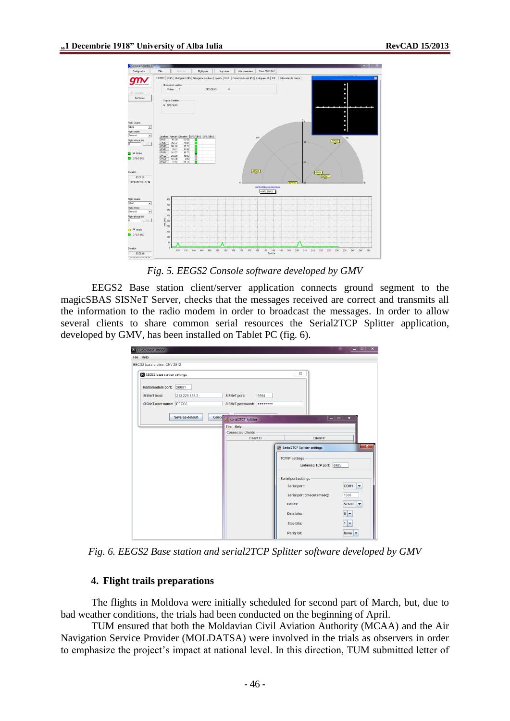

*Fig. 5. EEGS2 Console software developed by GMV*

EEGS2 Base station client/server application connects ground segment to the magicSBAS SISNeT Server, checks that the messages received are correct and transmits all the information to the radio modem in order to broadcast the messages. In order to allow several clients to share common serial resources the Serial2TCP Splitter application, developed by GMV, has been installed on Tablet PC (fig. 6).

| EEGS2 base station                                                 |                          |                                                     | $ -$                                               |
|--------------------------------------------------------------------|--------------------------|-----------------------------------------------------|----------------------------------------------------|
| File Help                                                          |                          |                                                     |                                                    |
| EEGS2 base station. GMV 2012                                       |                          |                                                     |                                                    |
| EEGS2 base station settings                                        |                          |                                                     | $\Sigma$                                           |
| Radiomodem port:<br><b>SISNeT host:</b><br>SISNeT user name: EEGS2 | 20001<br>213.229.135.3   | 5564<br><b>SISNeT port:</b><br>SISNeT password:<br> |                                                    |
|                                                                    | Save as default<br>Cance | serial2TCP Splitter                                 | - 19<br>$\boldsymbol{\mathsf{x}}$                  |
|                                                                    |                          | <b>File Help</b>                                    |                                                    |
|                                                                    |                          | <b>Connected clients</b><br><b>Client ID</b>        | Client IP                                          |
|                                                                    |                          |                                                     | $-x$<br>Serial2TCP Splitter settings               |
|                                                                    |                          |                                                     | <b>TCP/IP settings</b><br>Listening TCP port: 8885 |
|                                                                    |                          |                                                     | <b>Serial port settings</b>                        |
|                                                                    |                          |                                                     | COM <sub>1</sub><br>Serial port:<br>٠              |
|                                                                    |                          |                                                     | Serial port timeout (msec):<br>1000                |
|                                                                    |                          |                                                     | 57600<br>Bauds:<br>٠                               |
|                                                                    |                          |                                                     | $8 -$<br>Data bits:                                |
|                                                                    |                          |                                                     | $1 -$<br><b>Stop bits:</b>                         |
|                                                                    |                          |                                                     | Parity bit:<br>None<br>$\overline{\phantom{a}}$    |

*Fig. 6. EEGS2 Base station and serial2TCP Splitter software developed by GMV*

#### **4. Flight trails preparations**

The flights in Moldova were initially scheduled for second part of March, but, due to bad weather conditions, the trials had been conducted on the beginning of April.

TUM ensured that both the Moldavian Civil Aviation Authority (MCAA) and the Air Navigation Service Provider (MOLDATSA) were involved in the trials as observers in order to emphasize the project's impact at national level. In this direction, TUM submitted letter of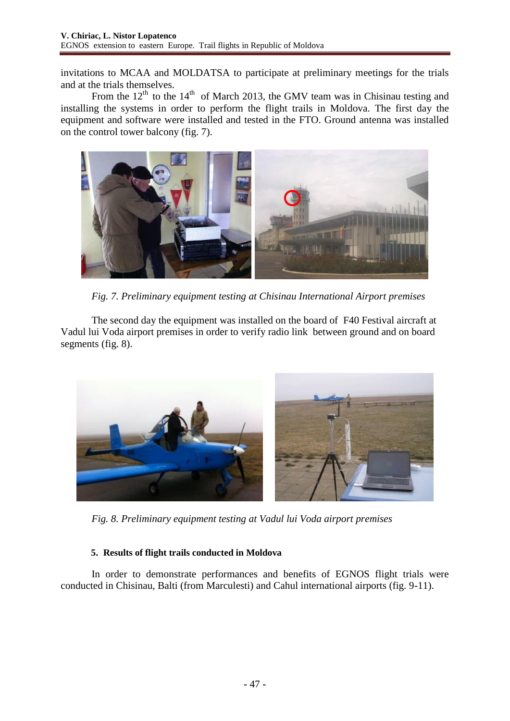invitations to MCAA and MOLDATSA to participate at preliminary meetings for the trials and at the trials themselves.

From the  $12<sup>th</sup>$  to the  $14<sup>th</sup>$  of March 2013, the GMV team was in Chisinau testing and installing the systems in order to perform the flight trails in Moldova. The first day the equipment and software were installed and tested in the FTO. Ground antenna was installed on the control tower balcony (fig. 7).



*Fig. 7. Preliminary equipment testing at Chisinau International Airport premises*

The second day the equipment was installed on the board of F40 Festival aircraft at Vadul lui Voda airport premises in order to verify radio link between ground and on board segments (fig. 8).



*Fig. 8. Preliminary equipment testing at Vadul lui Voda airport premises*

## **5. Results of flight trails conducted in Moldova**

In order to demonstrate performances and benefits of EGNOS flight trials were conducted in Chisinau, Balti (from Marculesti) and Cahul international airports (fig. 9-11).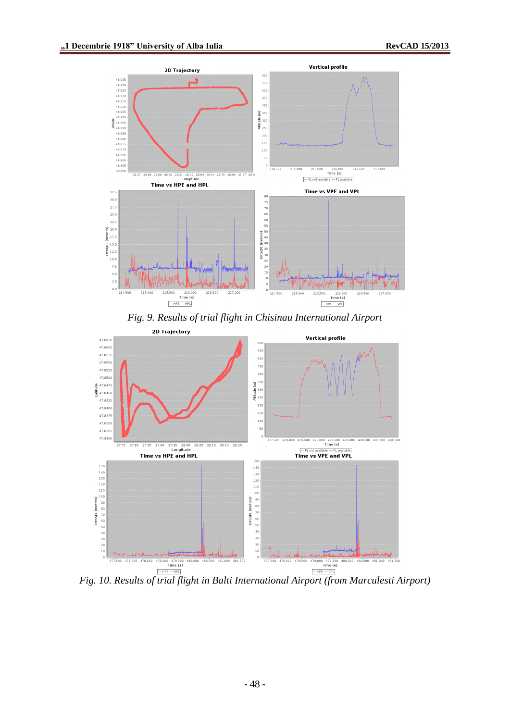

*Fig. 9. Results of trial flight in Chisinau International Airport*



*Fig. 10. Results of trial flight in Balti International Airport (from Marculesti Airport)*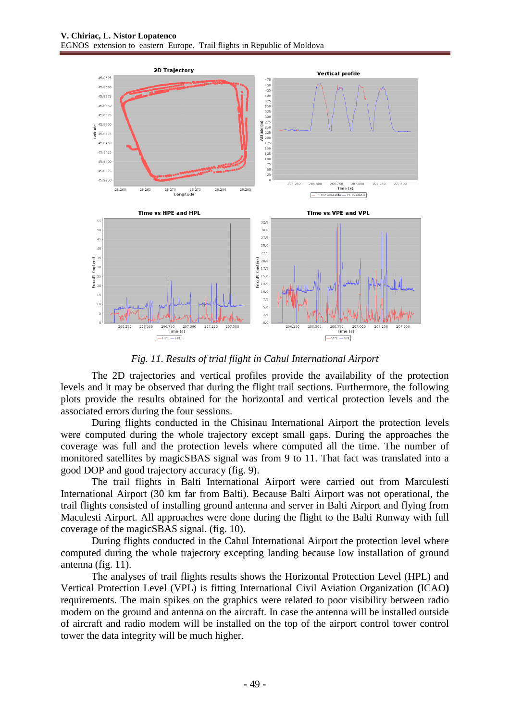

*Fig. 11. Results of trial flight in Cahul International Airport*

The 2D trajectories and vertical profiles provide the availability of the protection levels and it may be observed that during the flight trail sections. Furthermore, the following plots provide the results obtained for the horizontal and vertical protection levels and the associated errors during the four sessions.

During flights conducted in the Chisinau International Airport the protection levels were computed during the whole trajectory except small gaps. During the approaches the coverage was full and the protection levels where computed all the time. The number of monitored satellites by magicSBAS signal was from 9 to 11. That fact was translated into a good DOP and good trajectory accuracy (fig. 9).

The trail flights in Balti International Airport were carried out from Marculesti International Airport (30 km far from Balti). Because Balti Airport was not operational, the trail flights consisted of installing ground antenna and server in Balti Airport and flying from Maculesti Airport. All approaches were done during the flight to the Balti Runway with full coverage of the magicSBAS signal. (fig. 10).

During flights conducted in the Cahul International Airport the protection level where computed during the whole trajectory excepting landing because low installation of ground antenna (fig. 11).

The analyses of trail flights results shows the Horizontal Protection Level (HPL) and Vertical Protection Level (VPL) is fitting International Civil Aviation Organization **(**ICAO**)** requirements. The main spikes on the graphics were related to poor visibility between radio modem on the ground and antenna on the aircraft. In case the antenna will be installed outside of aircraft and radio modem will be installed on the top of the airport control tower control tower the data integrity will be much higher.